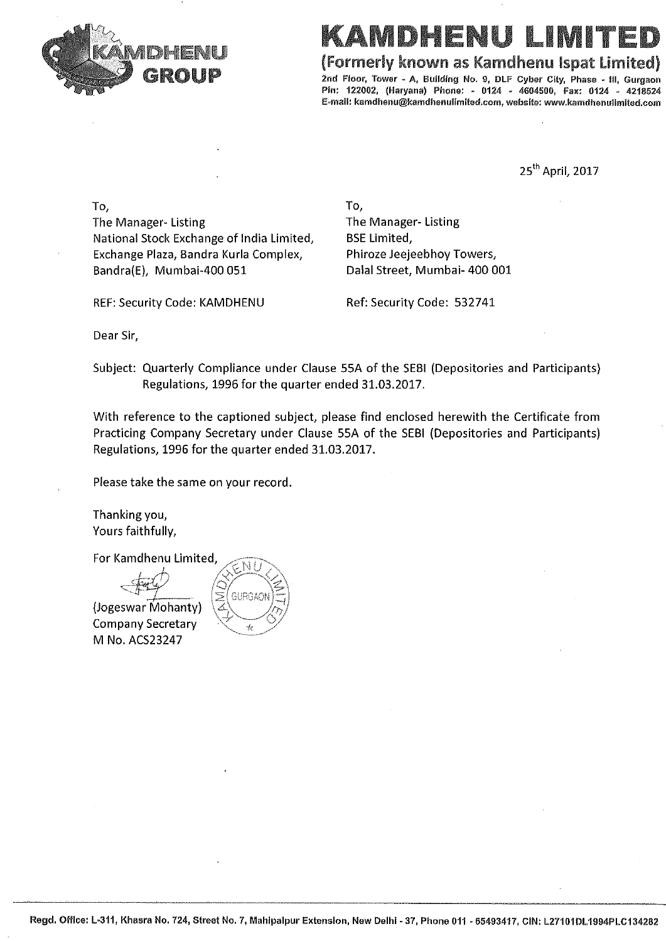

# MDHFNU

(Formerly known as Kamdhenu Ispat Limited)

2nd Floor, Tower - A, Building No. 9, DLF Cyber City, Phase - III, Gurgaon Pin: 122002, (Haryana) Phone: - 0124 - 4604500, Fax: 0124 - 4218524 E-mail: kamdhenu@kamdhenulimited.com, website: www.kamdhenulimited.com

25<sup>th</sup> April, 2017

To, The Manager-Listing National Stock Exchange of India Limited, Exchange Plaza, Bandra Kurla Complex, Bandra(E), Mumbai-400 051

To, The Manager-Listing **BSE Limited,** Phiroze Jeejeebhoy Towers, Dalal Street, Mumbai- 400 001

REF: Security Code: KAMDHENU Ref: Security Code: 532741

Dear Sir,

Subject: Quarterly Compliance under Clause 55A of the SEBI (Depositories and Participants) Regulations, 1996 for the quarter ended 31.03.2017.

With reference to the captioned subject, please find enclosed herewith the Certificate from Practicing Company Secretary under Clause 55A of the SEBI (Depositories and Participants) Regulations, 1996 for the quarter ended 31.03.2017.

Please take the same on your record.

Thanking you, Yours faithfully,

For Kamdhenu Limited,

(Jogeswar Mohanty) **Company Secretary** M No. ACS23247

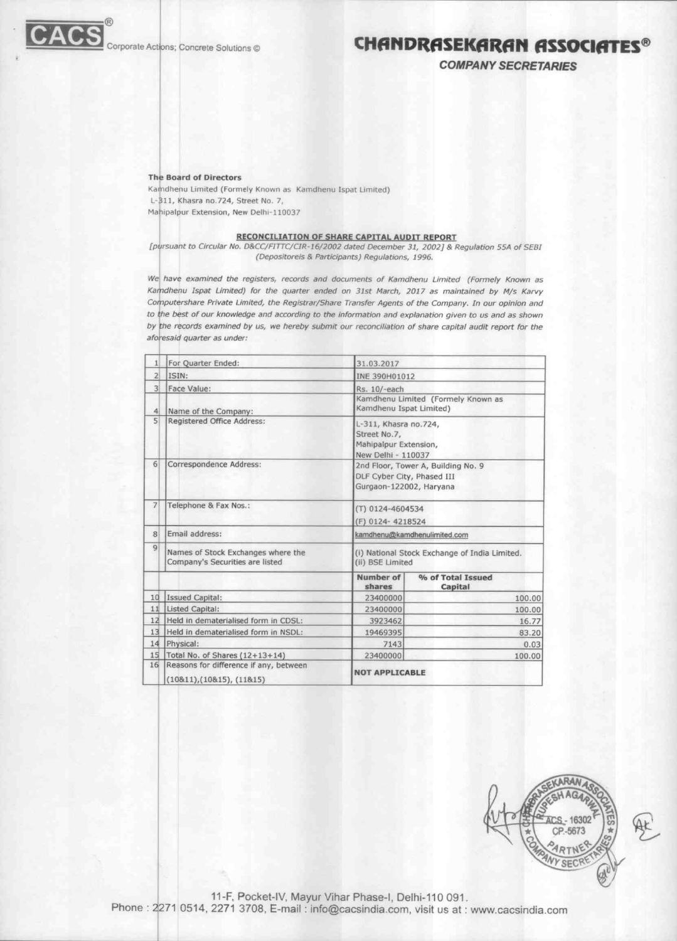

### **CHANDRASEKARAN ASSOCIATES®**

**COMPANY SECRETARIES** 

#### **The Board of Directors**

Kamdhenu Limited (Formely Known as Kamdhenu Ispat Limited) L-311, Khasra no.724, Street No. 7, Mahipalpur Extension, New Delhi-110037

#### **RECONCILIATION OF SHARE CAPITAL AUDIT REPORT**

[pursuant to Circular No. D&CC/FITTC/CIR-16/2002 dated December 31, 2002] & Regulation 55A of SEBI (Depositoreis & Participants) Regulations, 1996.

We have examined the registers, records and documents of Kamdhenu Limited (Formely Known as Kamdhenu Ispat Limited) for the quarter ended on 31st March, 2017 as maintained by M/s Karvy Computershare Private Limited, the Registrar/Share Transfer Agents of the Company. In our opinion and to the best of our knowledge and according to the information and explanation given to us and as shown by the records examined by us, we hereby submit our reconciliation of share capital audit report for the aforesaid quarter as under:

| 1               | For Ouarter Ended:                                                    | 31.03.2017                                                                                  |                              |  |  |  |
|-----------------|-----------------------------------------------------------------------|---------------------------------------------------------------------------------------------|------------------------------|--|--|--|
| $\overline{2}$  | ISIN:                                                                 | INE 390H01012                                                                               |                              |  |  |  |
| $\overline{3}$  | Face Value:                                                           | Rs. 10/-each                                                                                |                              |  |  |  |
| $\overline{4}$  | Name of the Company:                                                  | Kamdhenu Limited (Formely Known as<br>Kamdhenu Ispat Limited)                               |                              |  |  |  |
| 5               | Registered Office Address:                                            | L-311, Khasra no.724,<br>Street No.7,<br>Mahipalpur Extension,<br>New Delhi - 110037        |                              |  |  |  |
| 6               | Correspondence Address:                                               | 2nd Floor, Tower A, Building No. 9<br>DLF Cyber City, Phased III<br>Gurgaon-122002, Haryana |                              |  |  |  |
| $\overline{7}$  | Telephone & Fax Nos.:                                                 | (T) 0124-4604534<br>(F) 0124-4218524                                                        |                              |  |  |  |
| 8               | Email address:                                                        | kamdhenu@kamdhenulimited.com                                                                |                              |  |  |  |
| $\vert 9 \vert$ | Names of Stock Exchanges where the<br>Company's Securities are listed | (i) National Stock Exchange of India Limited.<br>(ii) BSE Limited                           |                              |  |  |  |
|                 |                                                                       | Number of<br>shares                                                                         | % of Total Issued<br>Capital |  |  |  |
| 10              | Issued Capital:                                                       | 23400000                                                                                    | 100.00                       |  |  |  |
| 11              | Listed Capital:                                                       | 23400000                                                                                    | 100.00                       |  |  |  |
| 12              | Held in dematerialised form in CDSL:                                  | 3923462                                                                                     | 16.77                        |  |  |  |
| 13              | Held in dematerialised form in NSDL:                                  | 19469395                                                                                    | 83.20                        |  |  |  |
| 14              | Physical:                                                             | 7143                                                                                        | 0.03                         |  |  |  |
| 15              | Total No. of Shares (12+13+14)                                        | 23400000                                                                                    | 100.00                       |  |  |  |
| 16              | Reasons for difference if any, between<br>(10811), (10815), (11815)   | <b>NOT APPLICABLE</b>                                                                       |                              |  |  |  |



11-F, Pocket-IV, Mayur Vihar Phase-I, Delhi-110 091. Phone : 2271 0514, 2271 3708, E-mail : info@cacsindia.com, visit us at : www.cacsindia.com